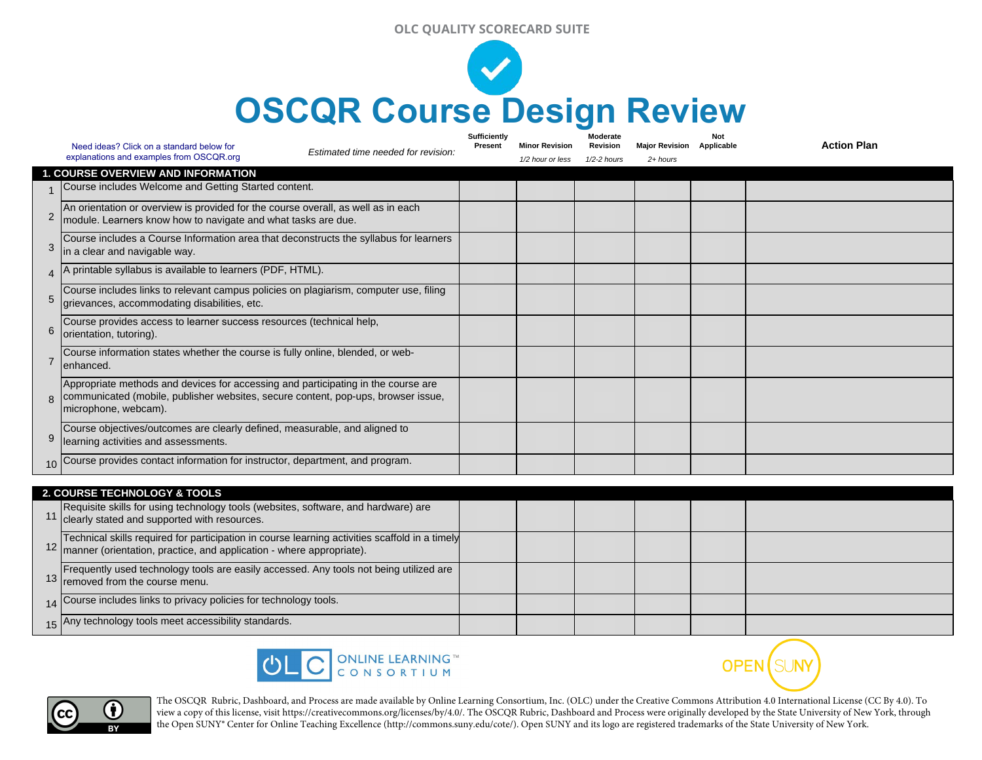## **OLC QUALITY SCORECARD SUITE**



|                                           | Need ideas? Click on a standard below for                                                                                                                                                      | Estimated time needed for revision: | Sufficiently<br>Present | <b>Minor Revision</b> | Moderate<br>Revision | <b>Major Revision</b> | Not<br>Applicable | <b>Action Plan</b> |  |
|-------------------------------------------|------------------------------------------------------------------------------------------------------------------------------------------------------------------------------------------------|-------------------------------------|-------------------------|-----------------------|----------------------|-----------------------|-------------------|--------------------|--|
|                                           | explanations and examples from OSCQR.org                                                                                                                                                       |                                     |                         | 1/2 hour or less      | 1/2-2 hours          | $2 + hours$           |                   |                    |  |
| <b>1. COURSE OVERVIEW AND INFORMATION</b> |                                                                                                                                                                                                |                                     |                         |                       |                      |                       |                   |                    |  |
|                                           | Course includes Welcome and Getting Started content.                                                                                                                                           |                                     |                         |                       |                      |                       |                   |                    |  |
| $\overline{2}$                            | An orientation or overview is provided for the course overall, as well as in each<br>module. Learners know how to navigate and what tasks are due.                                             |                                     |                         |                       |                      |                       |                   |                    |  |
| 3                                         | Course includes a Course Information area that deconstructs the syllabus for learners<br>in a clear and navigable way.                                                                         |                                     |                         |                       |                      |                       |                   |                    |  |
| 4                                         | printable syllabus is available to learners (PDF, HTML).                                                                                                                                       |                                     |                         |                       |                      |                       |                   |                    |  |
| 5                                         | Course includes links to relevant campus policies on plagiarism, computer use, filing<br>grievances, accommodating disabilities, etc.                                                          |                                     |                         |                       |                      |                       |                   |                    |  |
| 6                                         | Course provides access to learner success resources (technical help,<br>orientation, tutoring).                                                                                                |                                     |                         |                       |                      |                       |                   |                    |  |
|                                           | Course information states whether the course is fully online, blended, or web-<br>lenhanced.                                                                                                   |                                     |                         |                       |                      |                       |                   |                    |  |
| $\mathsf{R}$                              | Appropriate methods and devices for accessing and participating in the course are<br>communicated (mobile, publisher websites, secure content, pop-ups, browser issue,<br>microphone, webcam). |                                     |                         |                       |                      |                       |                   |                    |  |
| 9                                         | Course objectives/outcomes are clearly defined, measurable, and aligned to<br>learning activities and assessments.                                                                             |                                     |                         |                       |                      |                       |                   |                    |  |
|                                           | 10 Course provides contact information for instructor, department, and program.                                                                                                                |                                     |                         |                       |                      |                       |                   |                    |  |

| <b>2. COURSE TECHNOLOGY &amp; TOOLS</b> |                                                                                                                                                                           |  |  |  |  |  |  |
|-----------------------------------------|---------------------------------------------------------------------------------------------------------------------------------------------------------------------------|--|--|--|--|--|--|
|                                         | Requisite skills for using technology tools (websites, software, and hardware) are<br>11 clearly stated and supported with resources.                                     |  |  |  |  |  |  |
|                                         | Technical skills required for participation in course learning activities scaffold in a timely<br>12 manner (orientation, practice, and application - where appropriate). |  |  |  |  |  |  |
|                                         | Frequently used technology tools are easily accessed. Any tools not being utilized are<br>13 removed from the course menu.                                                |  |  |  |  |  |  |
|                                         | 14 Course includes links to privacy policies for technology tools.                                                                                                        |  |  |  |  |  |  |
|                                         | 15 Any technology tools meet accessibility standards.                                                                                                                     |  |  |  |  |  |  |





The OSCQR Rubric, Dashboard, and Process are made available by Online Learning Consortium, Inc. (OLC) under the Creative Commons Attribution 4.0 International License (CC By 4.0). To view a copy of this license, visit https://creativecommons.org/licenses/by/4.0/. The OSCQR Rubric, Dashboard and Process were originally developed by the State University of New York, through the Open SUNY® Center for Online Teaching Excellence (http://commons.suny.edu/cote/). Open SUNY and its logo are registered trademarks of the State University of New York.

**OPEN** SUNY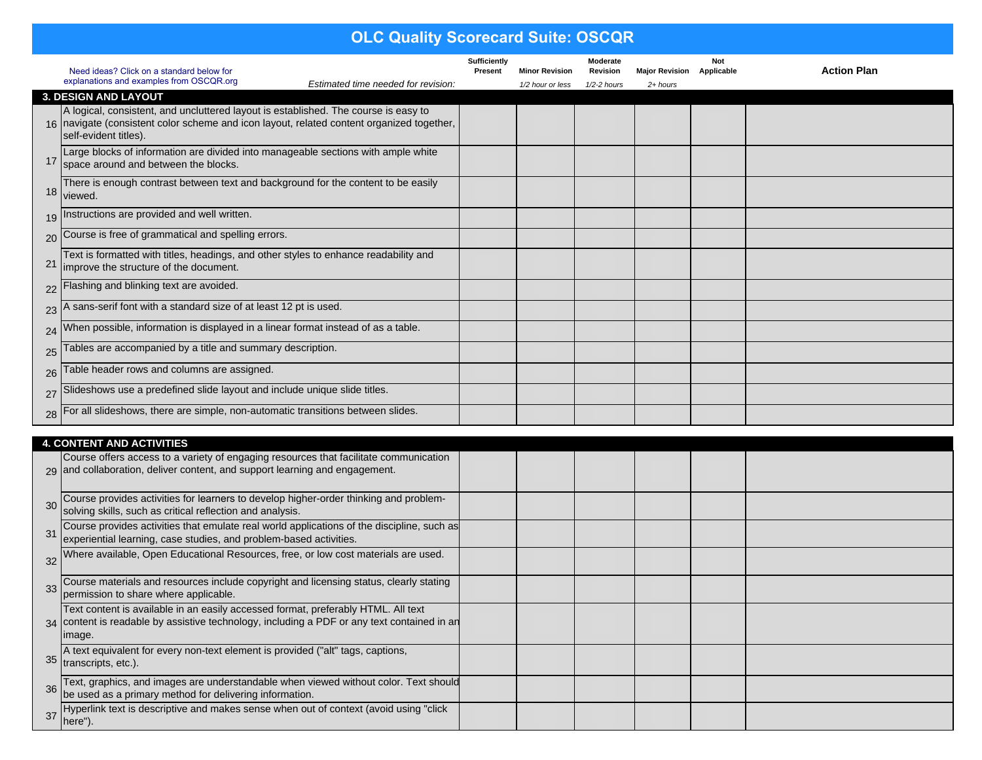## **OLC Quality Scorecard Suite: OSCQR**

|                 | Need ideas? Click on a standard below for<br>explanations and examples from OSCQR.org                                                                                                                       | Sufficiently<br>Present | <b>Minor Revision</b> | Moderate<br>Revision | <b>Major Revision</b> | <b>Not</b><br>Applicable | <b>Action Plan</b> |
|-----------------|-------------------------------------------------------------------------------------------------------------------------------------------------------------------------------------------------------------|-------------------------|-----------------------|----------------------|-----------------------|--------------------------|--------------------|
|                 | Estimated time needed for revision:<br>3. DESIGN AND LAYOUT                                                                                                                                                 |                         | 1/2 hour or less      | 1/2-2 hours          | $2 + hours$           |                          |                    |
|                 | A logical, consistent, and uncluttered layout is established. The course is easy to<br>16   navigate (consistent color scheme and icon layout, related content organized together,<br>self-evident titles). |                         |                       |                      |                       |                          |                    |
|                 | Large blocks of information are divided into manageable sections with ample white<br>space around and between the blocks.                                                                                   |                         |                       |                      |                       |                          |                    |
|                 | There is enough contrast between text and background for the content to be easily<br>18 viewed.                                                                                                             |                         |                       |                      |                       |                          |                    |
|                 | 19 Instructions are provided and well written.                                                                                                                                                              |                         |                       |                      |                       |                          |                    |
|                 | 20 Course is free of grammatical and spelling errors.                                                                                                                                                       |                         |                       |                      |                       |                          |                    |
| 21              | Text is formatted with titles, headings, and other styles to enhance readability and<br>improve the structure of the document.                                                                              |                         |                       |                      |                       |                          |                    |
| $22$ $F_1$      | lashing and blinking text are avoided.                                                                                                                                                                      |                         |                       |                      |                       |                          |                    |
| $23^{A}$        | sans-serif font with a standard size of at least 12 pt is used.                                                                                                                                             |                         |                       |                      |                       |                          |                    |
| 24 <sup>W</sup> | /hen possible, information is displayed in a linear format instead of as a table.                                                                                                                           |                         |                       |                      |                       |                          |                    |
| 25              | Tables are accompanied by a title and summary description.                                                                                                                                                  |                         |                       |                      |                       |                          |                    |
| 26              | able header rows and columns are assigned.                                                                                                                                                                  |                         |                       |                      |                       |                          |                    |
| $27$ Sh         | lideshows use a predefined slide layout and include unique slide titles.                                                                                                                                    |                         |                       |                      |                       |                          |                    |
|                 | 28   For all slideshows, there are simple, non-automatic transitions between slides.                                                                                                                        |                         |                       |                      |                       |                          |                    |

|    | <b>4. CONTENT AND ACTIVITIES</b>                                                                                                                                                            |  |  |  |  |  |  |  |
|----|---------------------------------------------------------------------------------------------------------------------------------------------------------------------------------------------|--|--|--|--|--|--|--|
|    | Course offers access to a variety of engaging resources that facilitate communication<br>29 and collaboration, deliver content, and support learning and engagement.                        |  |  |  |  |  |  |  |
| 30 | Course provides activities for learners to develop higher-order thinking and problem-<br>solving skills, such as critical reflection and analysis.                                          |  |  |  |  |  |  |  |
| 31 | Course provides activities that emulate real world applications of the discipline, such as<br>experiential learning, case studies, and problem-based activities.                            |  |  |  |  |  |  |  |
| 32 | Where available, Open Educational Resources, free, or low cost materials are used.                                                                                                          |  |  |  |  |  |  |  |
| 33 | Course materials and resources include copyright and licensing status, clearly stating<br>permission to share where applicable.                                                             |  |  |  |  |  |  |  |
|    | Text content is available in an easily accessed format, preferably HTML. All text<br>34 content is readable by assistive technology, including a PDF or any text contained in an<br>limage. |  |  |  |  |  |  |  |
| 35 | A text equivalent for every non-text element is provided ("alt" tags, captions,<br>transcripts, etc.).                                                                                      |  |  |  |  |  |  |  |
| 36 | Text, graphics, and images are understandable when viewed without color. Text should<br>be used as a primary method for delivering information.                                             |  |  |  |  |  |  |  |
|    | Hyperlink text is descriptive and makes sense when out of context (avoid using "click<br>here").                                                                                            |  |  |  |  |  |  |  |